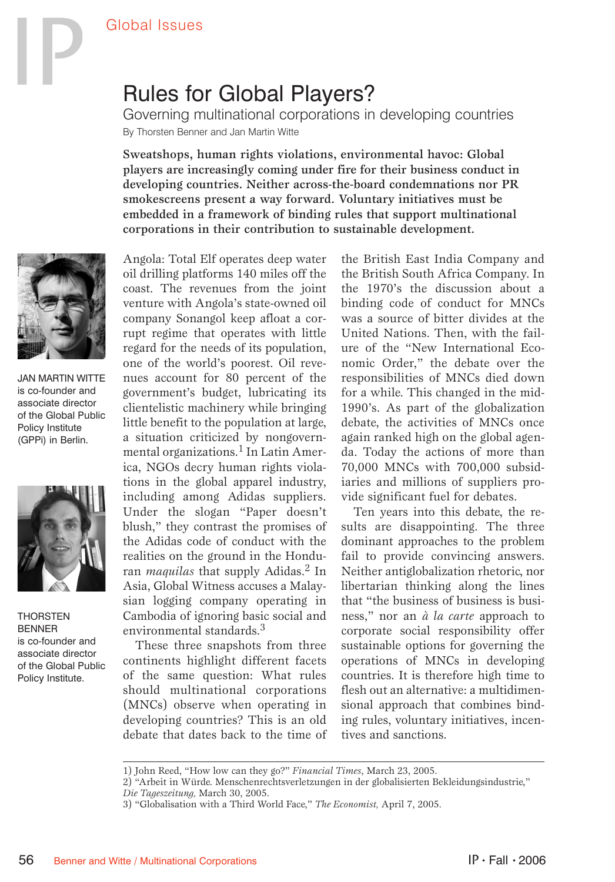## Rules for Global Players?

Governing multinational corporations in developing countries By Thorsten Benner and Jan Martin Witte

Sweatshops, human rights violations, environmental havoc: Global players are increasingly coming under fire for their business conduct in developing countries. Neither across-the-board condemnations nor PR smokescreens present a way forward. Voluntary initiatives must be embedded in a framework of binding rules that support multinational corporations in their contribution to sustainable development.



JAN MARTIN WITTE is co-founder and associate director of the Global Public Policy Institute (GPPi) in Berlin.



**THORSTEN BENNER** is co-founder and associate director of the Global Public Policy Institute.

Angola: Total Elf operates deep water oil drilling platforms 140 miles off the coast. The revenues from the joint venture with Angola's state-owned oil company Sonangol keep afloat a corrupt regime that operates with little regard for the needs of its population, one of the world's poorest. Oil revenues account for 80 percent of the government's budget, lubricating its clientelistic machinery while bringing little benefit to the population at large, a situation criticized by nongovernmental organizations.<sup>1</sup> In Latin America, NGOs decry human rights violations in the global apparel industry, including among Adidas suppliers. Under the slogan "Paper doesn't blush," they contrast the promises of the Adidas code of conduct with the realities on the ground in the Honduran *maquilas* that supply Adidas.2 In Asia, Global Witness accuses a Malaysian logging company operating in Cambodia of ignoring basic social and environmental standards.<sup>3</sup>

These three snapshots from three continents highlight different facets of the same question: What rules should multinational corporations (MNCs) observe when operating in developing countries? This is an old debate that dates back to the time of the British East India Company and the British South Africa Company. In the 1970's the discussion about a binding code of conduct for MNCs was a source of bitter divides at the United Nations. Then, with the failure of the "New International Economic Order," the debate over the responsibilities of MNCs died down for a while. This changed in the mid-1990's. As part of the globalization debate, the activities of MNCs once again ranked high on the global agenda. Today the actions of more than 70,000 MNCs with 700,000 subsidiaries and millions of suppliers provide significant fuel for debates.

Ten years into this debate, the results are disappointing. The three dominant approaches to the problem fail to provide convincing answers. Neither antiglobalization rhetoric, nor libertarian thinking along the lines that "the business of business is business," nor an *à la carte* approach to corporate social responsibility offer sustainable options for governing the operations of MNCs in developing countries. It is therefore high time to flesh out an alternative: a multidimensional approach that combines binding rules, voluntary initiatives, incentives and sanctions.

<sup>1)</sup> John Reed, "How low can they go?" *Financial Times*, March 23, 2005.

<sup>2) &</sup>quot;Arbeit in Würde. Menschenrechtsverletzungen in der globalisierten Bekleidungsindustrie," *Die Tageszeitung,* March 30, 2005.

<sup>3) &</sup>quot;Globalisation with a Third World Face," *The Economist,* April 7, 2005.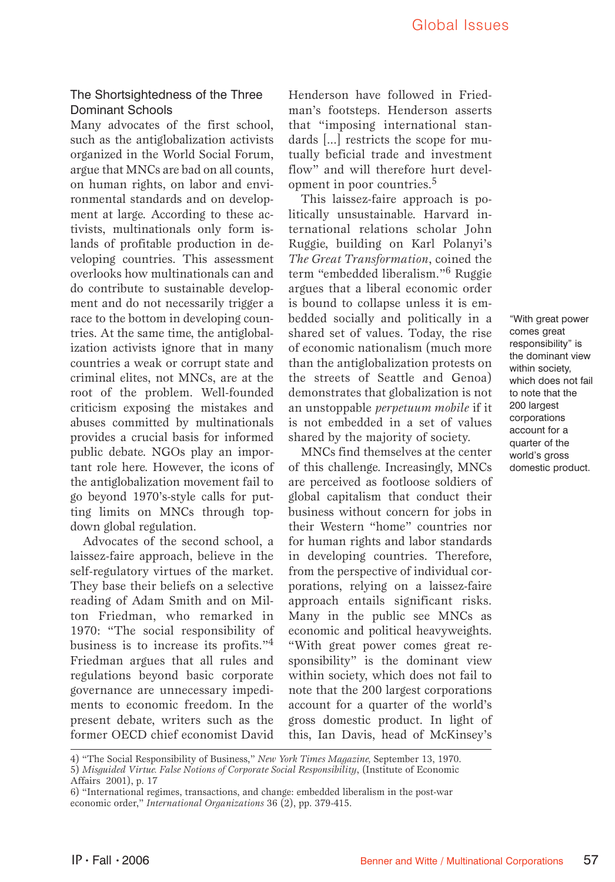## The Shortsightedness of the Three Dominant Schools

Many advocates of the first school, such as the antiglobalization activists organized in the World Social Forum, argue that MNCs are bad on all counts, on human rights, on labor and environmental standards and on development at large. According to these activists, multinationals only form islands of profitable production in developing countries. This assessment overlooks how multinationals can and do contribute to sustainable development and do not necessarily trigger a race to the bottom in developing countries. At the same time, the antiglobalization activists ignore that in many countries a weak or corrupt state and criminal elites, not MNCs, are at the root of the problem. Well-founded criticism exposing the mistakes and abuses committed by multinationals provides a crucial basis for informed public debate. NGOs play an important role here. However, the icons of the antiglobalization movement fail to go beyond 1970's-style calls for putting limits on MNCs through topdown global regulation.

Advocates of the second school, a laissez-faire approach, believe in the self-regulatory virtues of the market. They base their beliefs on a selective reading of Adam Smith and on Milton Friedman, who remarked in 1970: "The social responsibility of business is to increase its profits."<sup>4</sup> Friedman argues that all rules and regulations beyond basic corporate governance are unnecessary impediments to economic freedom. In the present debate, writers such as the former OECD chief economist David

Henderson have followed in Friedman's footsteps. Henderson asserts that "imposing international standards [...] restricts the scope for mutually beficial trade and investment flow" and will therefore hurt development in poor countries.<sup>5</sup>

This laissez-faire approach is politically unsustainable. Harvard international relations scholar John Ruggie, building on Karl Polanyi's *The Great Transformation*, coined the term "embedded liberalism."6 Ruggie argues that a liberal economic order is bound to collapse unless it is embedded socially and politically in a shared set of values. Today, the rise of economic nationalism (much more than the antiglobalization protests on the streets of Seattle and Genoa) demonstrates that globalization is not an unstoppable *perpetuum mobile* if it is not embedded in a set of values shared by the majority of society.

MNCs find themselves at the center of this challenge. Increasingly, MNCs are perceived as footloose soldiers of global capitalism that conduct their business without concern for jobs in their Western "home" countries nor for human rights and labor standards in developing countries. Therefore, from the perspective of individual corporations, relying on a laissez-faire approach entails significant risks. Many in the public see MNCs as economic and political heavyweights. "With great power comes great responsibility" is the dominant view within society, which does not fail to note that the 200 largest corporations account for a quarter of the world's gross domestic product. In light of this, Ian Davis, head of McKinsey's

"With great power comes great responsibility" is the dominant view within society, which does not fail to note that the 200 largest corporations account for a quarter of the world's gross domestic product.

<sup>4) &</sup>quot;The Social Responsibility of Business," *New York Times Magazine,* September 13, 1970. 5) *Misguided Virtue. False Notions of Corporate Social Responsibility*, (Institute of Economic Affairs 2001), p. 17

<sup>6) &</sup>quot;International regimes, transactions, and change: embedded liberalism in the post-war economic order," *International Organizations* 36 (2), pp. 379-415.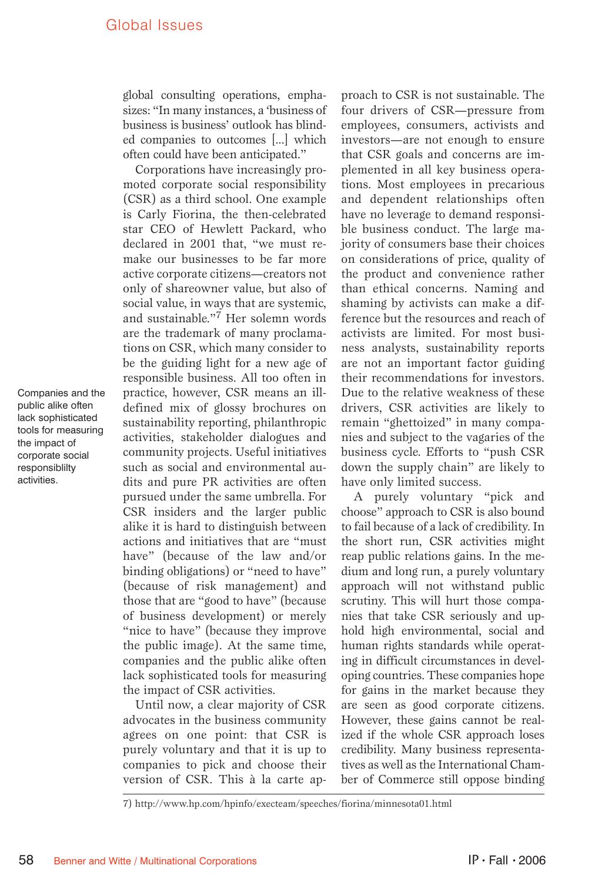global consulting operations, emphasizes: "In many instances, a 'business of business is business' outlook has blinded companies to outcomes [...] which often could have been anticipated."

Corporations have increasingly promoted corporate social responsibility (CSR) as a third school. One example is Carly Fiorina, the then-celebrated star CEO of Hewlett Packard, who declared in 2001 that, "we must remake our businesses to be far more active corporate citizens—creators not only of shareowner value, but also of social value, in ways that are systemic, and sustainable."7 Her solemn words are the trademark of many proclamations on CSR, which many consider to be the guiding light for a new age of responsible business. All too often in practice, however, CSR means an illdefined mix of glossy brochures on sustainability reporting, philanthropic activities, stakeholder dialogues and community projects. Useful initiatives such as social and environmental audits and pure PR activities are often pursued under the same umbrella. For CSR insiders and the larger public alike it is hard to distinguish between actions and initiatives that are "must have" (because of the law and/or binding obligations) or "need to have" (because of risk management) and those that are "good to have" (because of business development) or merely "nice to have" (because they improve the public image). At the same time, companies and the public alike often lack sophisticated tools for measuring the impact of CSR activities.

Until now, a clear majority of CSR advocates in the business community agrees on one point: that CSR is purely voluntary and that it is up to companies to pick and choose their version of CSR. This à la carte approach to CSR is not sustainable. The four drivers of CSR—pressure from employees, consumers, activists and investors—are not enough to ensure that CSR goals and concerns are implemented in all key business operations. Most employees in precarious and dependent relationships often have no leverage to demand responsible business conduct. The large majority of consumers base their choices on considerations of price, quality of the product and convenience rather than ethical concerns. Naming and shaming by activists can make a difference but the resources and reach of activists are limited. For most business analysts, sustainability reports are not an important factor guiding their recommendations for investors. Due to the relative weakness of these drivers, CSR activities are likely to remain "ghettoized" in many companies and subject to the vagaries of the business cycle. Efforts to "push CSR down the supply chain" are likely to have only limited success.

A purely voluntary "pick and choose" approach to CSR is also bound to fail because of a lack of credibility. In the short run, CSR activities might reap public relations gains. In the medium and long run, a purely voluntary approach will not withstand public scrutiny. This will hurt those companies that take CSR seriously and uphold high environmental, social and human rights standards while operating in difficult circumstances in developing countries. These companies hope for gains in the market because they are seen as good corporate citizens. However, these gains cannot be realized if the whole CSR approach loses credibility. Many business representatives as well as the International Chamber of Commerce still oppose binding

Companies and the public alike often lack sophisticated tools for measuring the impact of corporate social responsiblilty activities.

<sup>7)</sup> http://www.hp.com/hpinfo/execteam/speeches/fiorina/minnesota01.html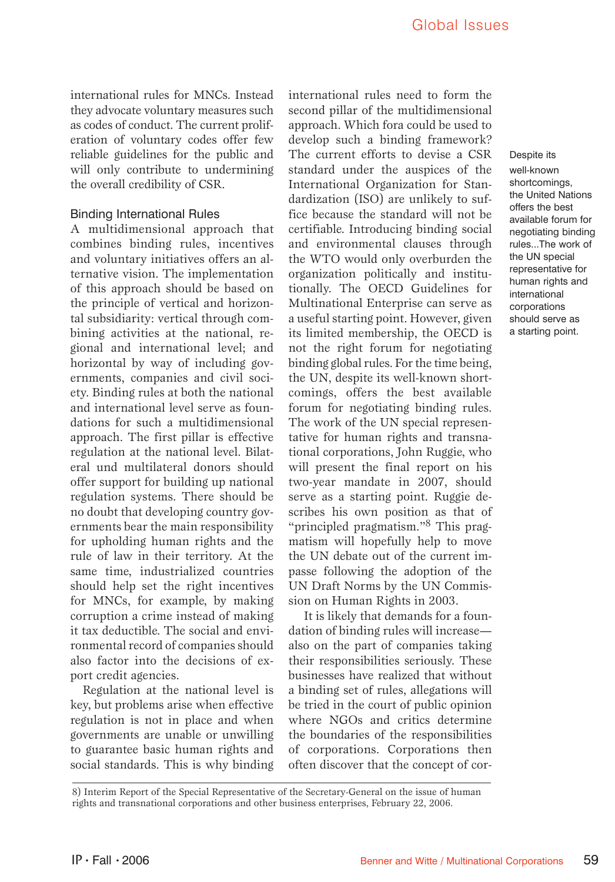Despite its well-known shortcomings, the United Nations offers the best available forum for negotiating binding rules...The work of the UN special representative for human rights and international corporations should serve as a starting point.

international rules for MNCs. Instead they advocate voluntary measures such as codes of conduct. The current proliferation of voluntary codes offer few reliable guidelines for the public and will only contribute to undermining the overall credibility of CSR.

## Binding International Rules

A multidimensional approach that combines binding rules, incentives and voluntary initiatives offers an alternative vision. The implementation of this approach should be based on the principle of vertical and horizontal subsidiarity: vertical through combining activities at the national, regional and international level; and horizontal by way of including governments, companies and civil society. Binding rules at both the national and international level serve as foundations for such a multidimensional approach. The first pillar is effective regulation at the national level. Bilateral und multilateral donors should offer support for building up national regulation systems. There should be no doubt that developing country governments bear the main responsibility for upholding human rights and the rule of law in their territory. At the same time, industrialized countries should help set the right incentives for MNCs, for example, by making corruption a crime instead of making it tax deductible. The social and environmental record of companies should also factor into the decisions of export credit agencies.

Regulation at the national level is key, but problems arise when effective regulation is not in place and when governments are unable or unwilling to guarantee basic human rights and social standards. This is why binding

international rules need to form the second pillar of the multidimensional approach. Which fora could be used to develop such a binding framework? The current efforts to devise a CSR standard under the auspices of the International Organization for Standardization (ISO) are unlikely to suffice because the standard will not be certifiable. Introducing binding social and environmental clauses through the WTO would only overburden the organization politically and institutionally. The OECD Guidelines for Multinational Enterprise can serve as a useful starting point. However, given its limited membership, the OECD is not the right forum for negotiating binding global rules. For the time being, the UN, despite its well-known shortcomings, offers the best available forum for negotiating binding rules. The work of the UN special representative for human rights and transnational corporations, John Ruggie, who will present the final report on his two-year mandate in 2007, should serve as a starting point. Ruggie describes his own position as that of "principled pragmatism."<sup>8</sup> This pragmatism will hopefully help to move the UN debate out of the current impasse following the adoption of the UN Draft Norms by the UN Commission on Human Rights in 2003.

 It is likely that demands for a foundation of binding rules will increase also on the part of companies taking their responsibilities seriously. These businesses have realized that without a binding set of rules, allegations will be tried in the court of public opinion where NGOs and critics determine the boundaries of the responsibilities of corporations. Corporations then often discover that the concept of cor-

8) Interim Report of the Special Representative of the Secretary-General on the issue of human rights and transnational corporations and other business enterprises, February 22, 2006.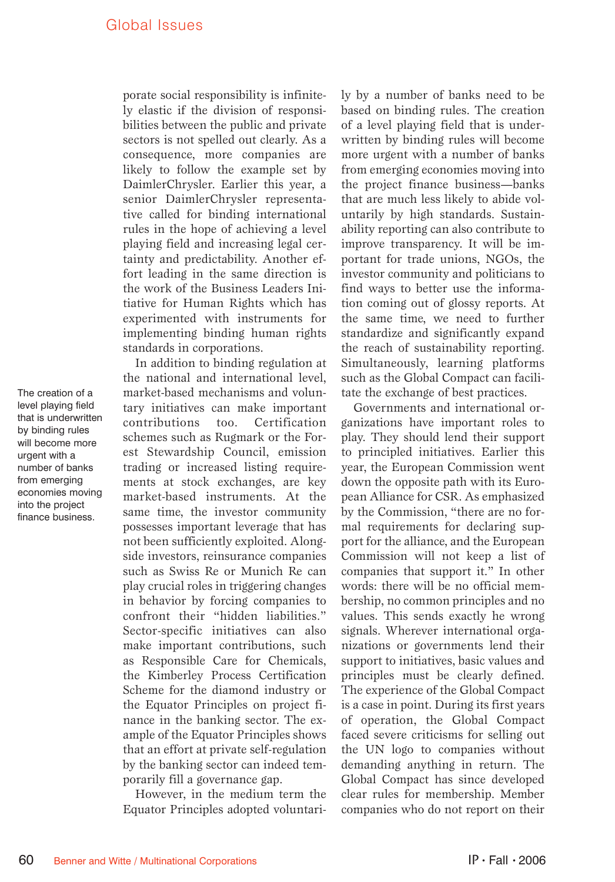The creation of a level playing field that is underwritten by binding rules will become more urgent with a number of banks from emerging economies moving into the project finance business.

porate social responsibility is infinitely elastic if the division of responsibilities between the public and private sectors is not spelled out clearly. As a consequence, more companies are likely to follow the example set by DaimlerChrysler. Earlier this year, a senior DaimlerChrysler representative called for binding international rules in the hope of achieving a level playing field and increasing legal certainty and predictability. Another effort leading in the same direction is the work of the Business Leaders Initiative for Human Rights which has experimented with instruments for implementing binding human rights standards in corporations.

In addition to binding regulation at the national and international level, market-based mechanisms and voluntary initiatives can make important contributions too. Certification schemes such as Rugmark or the Forest Stewardship Council, emission trading or increased listing requirements at stock exchanges, are key market-based instruments. At the same time, the investor community possesses important leverage that has not been sufficiently exploited. Alongside investors, reinsurance companies such as Swiss Re or Munich Re can play crucial roles in triggering changes in behavior by forcing companies to confront their "hidden liabilities." Sector-specific initiatives can also make important contributions, such as Responsible Care for Chemicals, the Kimberley Process Certification Scheme for the diamond industry or the Equator Principles on project finance in the banking sector. The example of the Equator Principles shows that an effort at private self-regulation by the banking sector can indeed temporarily fill a governance gap.

However, in the medium term the Equator Principles adopted voluntarily by a number of banks need to be based on binding rules. The creation of a level playing field that is underwritten by binding rules will become more urgent with a number of banks from emerging economies moving into the project finance business—banks that are much less likely to abide voluntarily by high standards. Sustainability reporting can also contribute to improve transparency. It will be important for trade unions, NGOs, the investor community and politicians to find ways to better use the information coming out of glossy reports. At the same time, we need to further standardize and significantly expand the reach of sustainability reporting. Simultaneously, learning platforms such as the Global Compact can facilitate the exchange of best practices.

Governments and international organizations have important roles to play. They should lend their support to principled initiatives. Earlier this year, the European Commission went down the opposite path with its European Alliance for CSR. As emphasized by the Commission, "there are no formal requirements for declaring support for the alliance, and the European Commission will not keep a list of companies that support it." In other words: there will be no official membership, no common principles and no values. This sends exactly he wrong signals. Wherever international organizations or governments lend their support to initiatives, basic values and principles must be clearly defined. The experience of the Global Compact is a case in point. During its first years of operation, the Global Compact faced severe criticisms for selling out the UN logo to companies without demanding anything in return. The Global Compact has since developed clear rules for membership. Member companies who do not report on their

60 Benner and Witte / Multinational Corporations **IP • Fall • 2006** IP • Fall • 2006